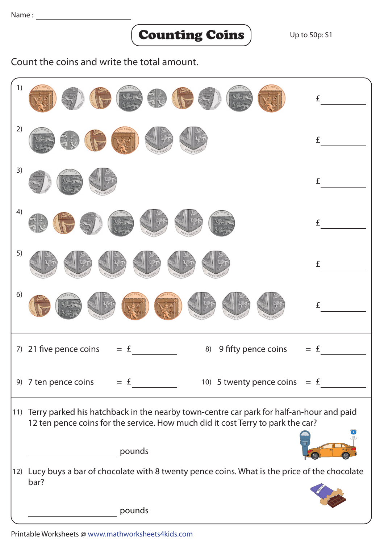## Counting Coins

Count the coins and write the total amount.

| 1) |                                                                                                                                                                                | £ |
|----|--------------------------------------------------------------------------------------------------------------------------------------------------------------------------------|---|
| 2) |                                                                                                                                                                                | £ |
| 3) |                                                                                                                                                                                | £ |
| 4) |                                                                                                                                                                                | £ |
| 5) |                                                                                                                                                                                | £ |
| 6) |                                                                                                                                                                                | £ |
| 7) | 21 five pence coins<br>9 fifty pence coins<br>$=$ £<br>8)                                                                                                                      | £ |
|    | 9) 7 ten pence coins $= E$<br>10) 5 twenty pence coins $=$ £                                                                                                                   |   |
|    | 11) Terry parked his hatchback in the nearby town-centre car park for half-an-hour and paid<br>12 ten pence coins for the service. How much did it cost Terry to park the car? |   |
|    | pounds                                                                                                                                                                         |   |
|    | 12) Lucy buys a bar of chocolate with 8 twenty pence coins. What is the price of the chocolate<br>bar?                                                                         |   |
|    |                                                                                                                                                                                |   |
|    | pounds                                                                                                                                                                         |   |